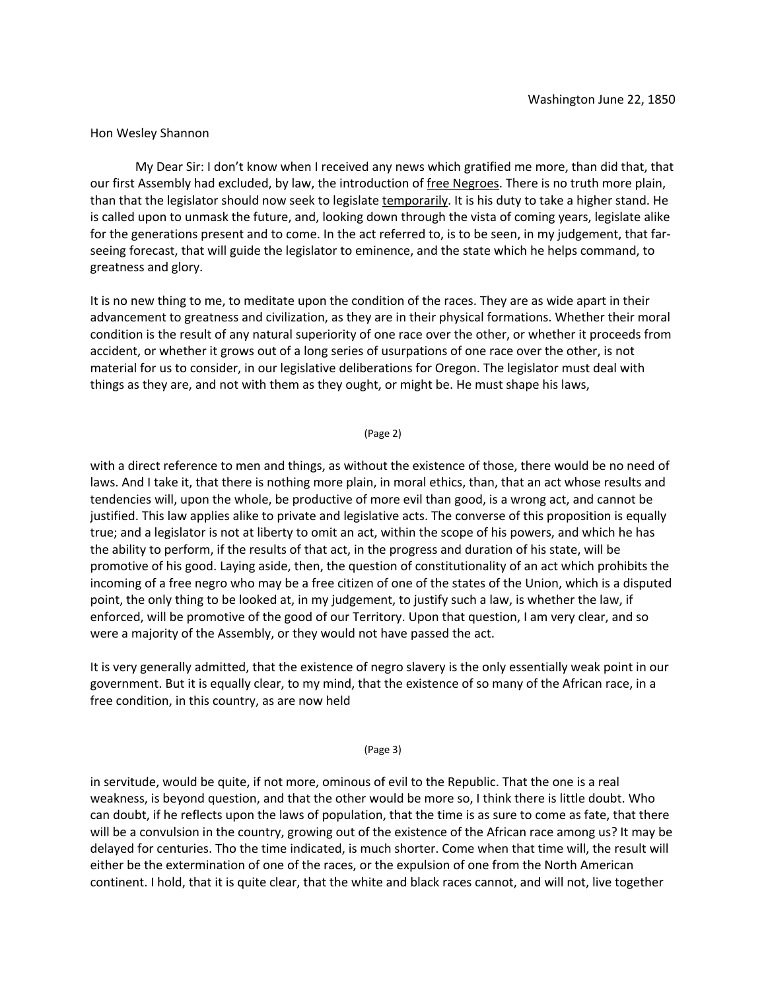# Hon Wesley Shannon

My Dear Sir: I don't know when I received any news which gratified me more, than did that, that our first Assembly had excluded, by law, the introduction of free Negroes. There is no truth more plain, than that the legislator should now seek to legislate temporarily. It is his duty to take a higher stand. He is called upon to unmask the future, and, looking down through the vista of coming years, legislate alike for the generations present and to come. In the act referred to, is to be seen, in my judgement, that farseeing forecast, that will guide the legislator to eminence, and the state which he helps command, to greatness and glory.

It is no new thing to me, to meditate upon the condition of the races. They are as wide apart in their advancement to greatness and civilization, as they are in their physical formations. Whether their moral condition is the result of any natural superiority of one race over the other, or whether it proceeds from accident, or whether it grows out of a long series of usurpations of one race over the other, is not material for us to consider, in our legislative deliberations for Oregon. The legislator must deal with things as they are, and not with them as they ought, or might be. He must shape his laws,

# (Page 2)

with a direct reference to men and things, as without the existence of those, there would be no need of laws. And I take it, that there is nothing more plain, in moral ethics, than, that an act whose results and tendencies will, upon the whole, be productive of more evil than good, is a wrong act, and cannot be justified. This law applies alike to private and legislative acts. The converse of this proposition is equally true; and a legislator is not at liberty to omit an act, within the scope of his powers, and which he has the ability to perform, if the results of that act, in the progress and duration of his state, will be promotive of his good. Laying aside, then, the question of constitutionality of an act which prohibits the incoming of a free negro who may be a free citizen of one of the states of the Union, which is a disputed point, the only thing to be looked at, in my judgement, to justify such a law, is whether the law, if enforced, will be promotive of the good of our Territory. Upon that question, I am very clear, and so were a majority of the Assembly, or they would not have passed the act.

It is very generally admitted, that the existence of negro slavery is the only essentially weak point in our government. But it is equally clear, to my mind, that the existence of so many of the African race, in a free condition, in this country, as are now held

## (Page 3)

in servitude, would be quite, if not more, ominous of evil to the Republic. That the one is a real weakness, is beyond question, and that the other would be more so, I think there is little doubt. Who can doubt, if he reflects upon the laws of population, that the time is as sure to come as fate, that there will be a convulsion in the country, growing out of the existence of the African race among us? It may be delayed for centuries. Tho the time indicated, is much shorter. Come when that time will, the result will either be the extermination of one of the races, or the expulsion of one from the North American continent. I hold, that it is quite clear, that the white and black races cannot, and will not, live together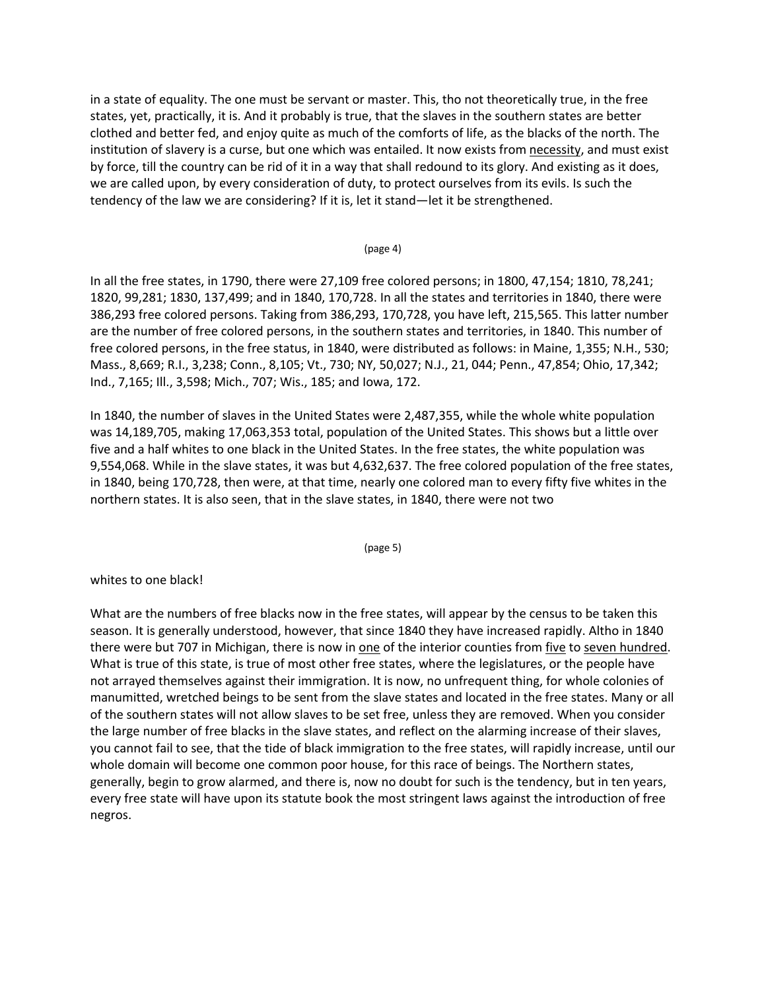in a state of equality. The one must be servant or master. This, tho not theoretically true, in the free states, yet, practically, it is. And it probably is true, that the slaves in the southern states are better clothed and better fed, and enjoy quite as much of the comforts of life, as the blacks of the north. The institution of slavery is a curse, but one which was entailed. It now exists from necessity, and must exist by force, till the country can be rid of it in a way that shall redound to its glory. And existing as it does, we are called upon, by every consideration of duty, to protect ourselves from its evils. Is such the tendency of the law we are considering? If it is, let it stand—let it be strengthened.

### (page 4)

In all the free states, in 1790, there were 27,109 free colored persons; in 1800, 47,154; 1810, 78,241; 1820, 99,281; 1830, 137,499; and in 1840, 170,728. In all the states and territories in 1840, there were 386,293 free colored persons. Taking from 386,293, 170,728, you have left, 215,565. This latter number are the number of free colored persons, in the southern states and territories, in 1840. This number of free colored persons, in the free status, in 1840, were distributed as follows: in Maine, 1,355; N.H., 530; Mass., 8,669; R.I., 3,238; Conn., 8,105; Vt., 730; NY, 50,027; N.J., 21, 044; Penn., 47,854; Ohio, 17,342; Ind., 7,165; Ill., 3,598; Mich., 707; Wis., 185; and Iowa, 172.

In 1840, the number of slaves in the United States were 2,487,355, while the whole white population was 14,189,705, making 17,063,353 total, population of the United States. This shows but a little over five and a half whites to one black in the United States. In the free states, the white population was 9,554,068. While in the slave states, it was but 4,632,637. The free colored population of the free states, in 1840, being 170,728, then were, at that time, nearly one colored man to every fifty five whites in the northern states. It is also seen, that in the slave states, in 1840, there were not two

(page 5)

## whites to one black!

What are the numbers of free blacks now in the free states, will appear by the census to be taken this season. It is generally understood, however, that since 1840 they have increased rapidly. Altho in 1840 there were but 707 in Michigan, there is now in one of the interior counties from five to seven hundred. What is true of this state, is true of most other free states, where the legislatures, or the people have not arrayed themselves against their immigration. It is now, no unfrequent thing, for whole colonies of manumitted, wretched beings to be sent from the slave states and located in the free states. Many or all of the southern states will not allow slaves to be set free, unless they are removed. When you consider the large number of free blacks in the slave states, and reflect on the alarming increase of their slaves, you cannot fail to see, that the tide of black immigration to the free states, will rapidly increase, until our whole domain will become one common poor house, for this race of beings. The Northern states, generally, begin to grow alarmed, and there is, now no doubt for such is the tendency, but in ten years, every free state will have upon its statute book the most stringent laws against the introduction of free negros.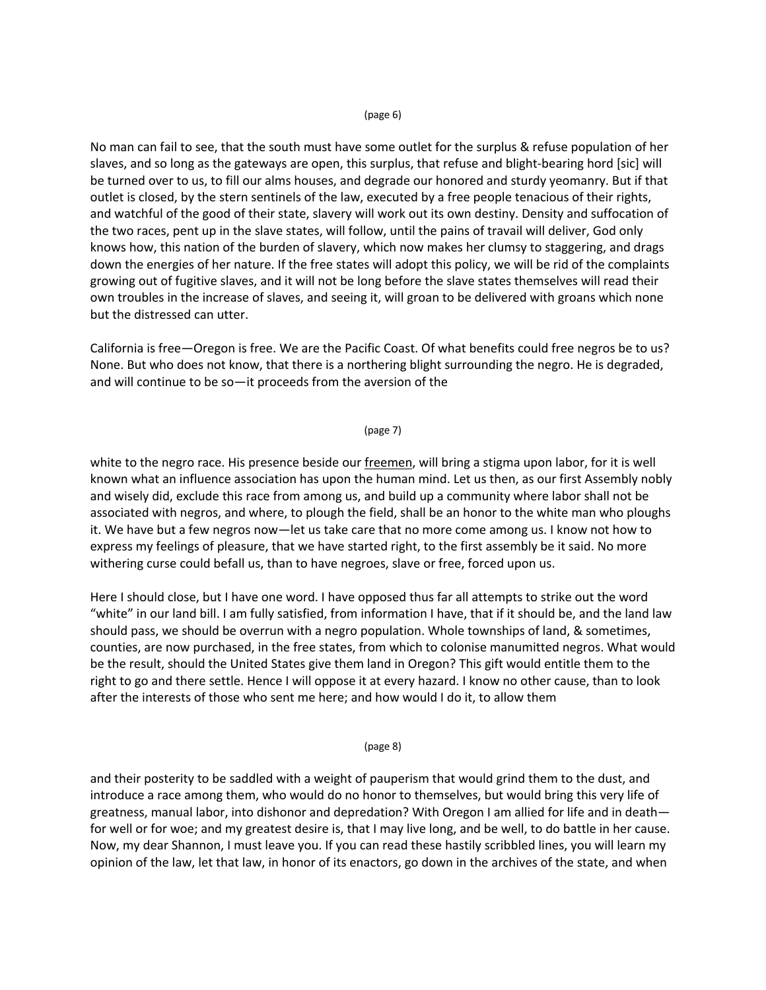### (page 6)

No man can fail to see, that the south must have some outlet for the surplus & refuse population of her slaves, and so long as the gateways are open, this surplus, that refuse and blight-bearing hord [sic] will be turned over to us, to fill our alms houses, and degrade our honored and sturdy yeomanry. But if that outlet is closed, by the stern sentinels of the law, executed by a free people tenacious of their rights, and watchful of the good of their state, slavery will work out its own destiny. Density and suffocation of the two races, pent up in the slave states, will follow, until the pains of travail will deliver, God only knows how, this nation of the burden of slavery, which now makes her clumsy to staggering, and drags down the energies of her nature. If the free states will adopt this policy, we will be rid of the complaints growing out of fugitive slaves, and it will not be long before the slave states themselves will read their own troubles in the increase of slaves, and seeing it, will groan to be delivered with groans which none but the distressed can utter.

California is free—Oregon is free. We are the Pacific Coast. Of what benefits could free negros be to us? None. But who does not know, that there is a northering blight surrounding the negro. He is degraded, and will continue to be so—it proceeds from the aversion of the

### (page 7)

white to the negro race. His presence beside our freemen, will bring a stigma upon labor, for it is well known what an influence association has upon the human mind. Let us then, as our first Assembly nobly and wisely did, exclude this race from among us, and build up a community where labor shall not be associated with negros, and where, to plough the field, shall be an honor to the white man who ploughs it. We have but a few negros now—let us take care that no more come among us. I know not how to express my feelings of pleasure, that we have started right, to the first assembly be it said. No more withering curse could befall us, than to have negroes, slave or free, forced upon us.

Here I should close, but I have one word. I have opposed thus far all attempts to strike out the word "white" in our land bill. I am fully satisfied, from information I have, that if it should be, and the land law should pass, we should be overrun with a negro population. Whole townships of land, & sometimes, counties, are now purchased, in the free states, from which to colonise manumitted negros. What would be the result, should the United States give them land in Oregon? This gift would entitle them to the right to go and there settle. Hence I will oppose it at every hazard. I know no other cause, than to look after the interests of those who sent me here; and how would I do it, to allow them

(page 8)

and their posterity to be saddled with a weight of pauperism that would grind them to the dust, and introduce a race among them, who would do no honor to themselves, but would bring this very life of greatness, manual labor, into dishonor and depredation? With Oregon I am allied for life and in death for well or for woe; and my greatest desire is, that I may live long, and be well, to do battle in her cause. Now, my dear Shannon, I must leave you. If you can read these hastily scribbled lines, you will learn my opinion of the law, let that law, in honor of its enactors, go down in the archives of the state, and when